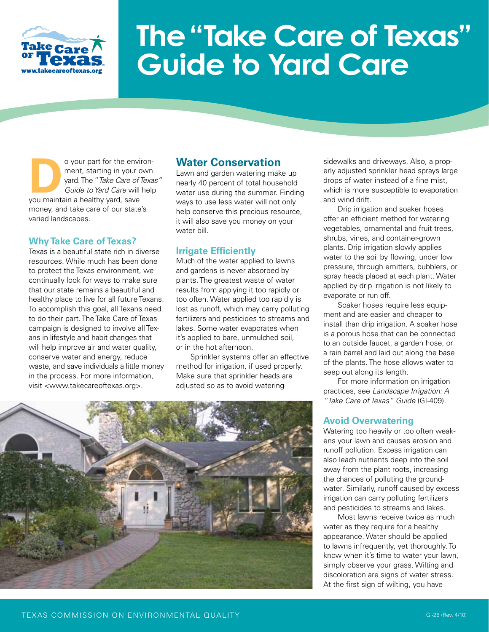

# **The "Take Care of Texas" Guide to Yard Care**

o your part for the environ-<br>ment, starting in your own<br>yard. The "*Take Care of Texa*<br>*Guide to Yard Care* will help<br>you maintain a healthy yard, save ment, starting in your own yard. The "*Take Care of Texas" Guide to Yard Care* will help you maintain a healthy yard, save money, and take care of our state's varied landscapes.

#### **Why Take Care of Texas?**

Texas is a beautiful state rich in diverse resources. While much has been done to protect the Texas environment, we continually look for ways to make sure that our state remains a beautiful and healthy place to live for all future Texans. To accomplish this goal, all Texans need to do their part. The Take Care of Texas campaign is designed to involve all Texans in lifestyle and habit changes that will help improve air and water quality, conserve water and energy, reduce waste, and save individuals a little money in the process. For more information, visit <www.takecareoftexas.org>.

## **Water Conservation**

Lawn and garden watering make up nearly 40 percent of total household water use during the summer. Finding ways to use less water will not only help conserve this precious resource, it will also save you money on your water bill.

#### **Irrigate Efficiently**

Much of the water applied to lawns and gardens is never absorbed by plants. The greatest waste of water results from applying it too rapidly or too often. Water applied too rapidly is lost as runoff, which may carry polluting fertilizers and pesticides to streams and lakes. Some water evaporates when it's applied to bare, unmulched soil, or in the hot afternoon.

Sprinkler systems offer an effective method for irrigation, if used properly. Make sure that sprinkler heads are adjusted so as to avoid watering

sidewalks and driveways. Also, a properly adjusted sprinkler head sprays large drops of water instead of a fine mist, which is more susceptible to evaporation and wind drift.

Drip irrigation and soaker hoses offer an efficient method for watering vegetables, ornamental and fruit trees, shrubs, vines, and container-grown plants. Drip irrigation slowly applies water to the soil by flowing, under low pressure, through emitters, bubblers, or spray heads placed at each plant. Water applied by drip irrigation is not likely to evaporate or run off.

Soaker hoses require less equipment and are easier and cheaper to install than drip irrigation. A soaker hose is a porous hose that can be connected to an outside faucet, a garden hose, or a rain barrel and laid out along the base of the plants. The hose allows water to seep out along its length.

For more information on irrigation practices, see *Landscape Irrigation: A "Take Care of Texas" Guide* (GI-409).

## **Avoid Overwatering**

Watering too heavily or too often weakens your lawn and causes erosion and runoff pollution. Excess irrigation can also leach nutrients deep into the soil away from the plant roots, increasing the chances of polluting the groundwater. Similarly, runoff caused by excess irrigation can carry polluting fertilizers and pesticides to streams and lakes.

Most lawns receive twice as much water as they require for a healthy appearance. Water should be applied to lawns infrequently, yet thoroughly. To know when it's time to water your lawn, simply observe your grass. Wilting and discoloration are signs of water stress. At the first sign of wilting, you have

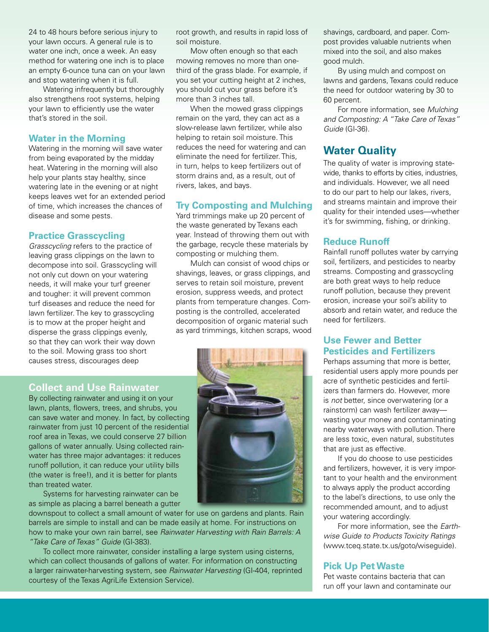24 to 48 hours before serious injury to your lawn occurs. A general rule is to water one inch, once a week. An easy method for watering one inch is to place an empty 6-ounce tuna can on your lawn and stop watering when it is full.

Watering infrequently but thoroughly also strengthens root systems, helping your lawn to efficiently use the water that's stored in the soil.

#### **Water in the Morning**

Watering in the morning will save water from being evaporated by the midday heat. Watering in the morning will also help your plants stay healthy, since watering late in the evening or at night keeps leaves wet for an extended period of time, which increases the chances of disease and some pests.

#### **Practice Grasscycling**

*Grasscycling* refers to the practice of leaving grass clippings on the lawn to decompose into soil. Grasscycling will not only cut down on your watering needs, it will make your turf greener and tougher: it will prevent common turf diseases and reduce the need for lawn fertilizer. The key to grasscycling is to mow at the proper height and disperse the grass clippings evenly, so that they can work their way down to the soil. Mowing grass too short causes stress, discourages deep

root growth, and results in rapid loss of soil moisture.

Mow often enough so that each mowing removes no more than onethird of the grass blade. For example, if you set your cutting height at 2 inches, you should cut your grass before it's more than 3 inches tall.

When the mowed grass clippings remain on the yard, they can act as a slow-release lawn fertilizer, while also helping to retain soil moisture. This reduces the need for watering and can eliminate the need for fertilizer. This, in turn, helps to keep fertilizers out of storm drains and, as a result, out of rivers, lakes, and bays.

## **Try Composting and Mulching**

Yard trimmings make up 20 percent of the waste generated by Texans each year. Instead of throwing them out with the garbage, recycle these materials by composting or mulching them.

Mulch can consist of wood chips or shavings, leaves, or grass clippings, and serves to retain soil moisture, prevent erosion, suppress weeds, and protect plants from temperature changes. Composting is the controlled, accelerated decomposition of organic material such as yard trimmings, kitchen scraps, wood



By collecting rainwater and using it on your lawn, plants, flowers, trees, and shrubs, you can save water and money. In fact, by collecting rainwater from just 10 percent of the residential roof area in Texas, we could conserve 27 billion gallons of water annually. Using collected rainwater has three major advantages: it reduces runoff pollution, it can reduce your utility bills (the water is free!), and it is better for plants than treated water.

Systems for harvesting rainwater can be as simple as placing a barrel beneath a gutter

downspout to collect a small amount of water for use on gardens and plants. Rain barrels are simple to install and can be made easily at home. For instructions on how to make your own rain barrel, see *Rainwater Harvesting with Rain Barrels: A "Take Care of Texas" Guide* (GI-383).

To collect more rainwater, consider installing a large system using cisterns, which can collect thousands of gallons of water. For information on constructing a larger rainwater-harvesting system, see *Rainwater Harvesting* (GI-404, reprinted courtesy of the Texas AgriLife Extension Service).



shavings, cardboard, and paper. Compost provides valuable nutrients when mixed into the soil, and also makes good mulch.

By using mulch and compost on lawns and gardens, Texans could reduce the need for outdoor watering by 30 to 60 percent.

For more information, see *Mulching and Composting: A "Take Care of Texas" Guide* (GI-36).

## **Water Quality**

The quality of water is improving statewide, thanks to efforts by cities, industries, and individuals. However, we all need to do our part to help our lakes, rivers, and streams maintain and improve their quality for their intended uses—whether it's for swimming, fishing, or drinking.

## **Reduce Runoff**

Rainfall runoff pollutes water by carrying soil, fertilizers, and pesticides to nearby streams. Composting and grasscycling are both great ways to help reduce runoff pollution, because they prevent erosion, increase your soil's ability to absorb and retain water, and reduce the need for fertilizers.

## **Use Fewer and Better Pesticides and Fertilizers**

Perhaps assuming that more is better, residential users apply more pounds per acre of synthetic pesticides and fertilizers than farmers do. However, more is *not* better, since overwatering (or a rainstorm) can wash fertilizer away wasting your money and contaminating nearby waterways with pollution. There are less toxic, even natural, substitutes that are just as effective.

If you do choose to use pesticides and fertilizers, however, it is very important to your health and the environment to always apply the product according to the label's directions, to use only the recommended amount, and to adjust your watering accordingly.

For more information, see the *Earthwise Guide to Products Toxicity Ratings*  (www.tceq.state.tx.us/goto/wiseguide).

## **Pick Up Pet Waste**

Pet waste contains bacteria that can run off your lawn and contaminate our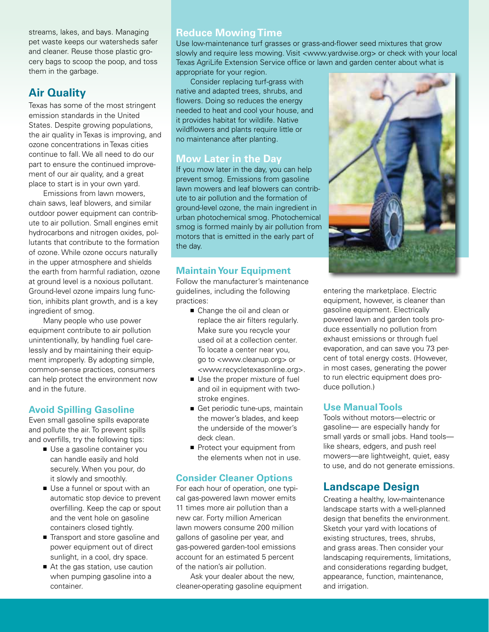streams, lakes, and bays. Managing pet waste keeps our watersheds safer and cleaner. Reuse those plastic grocery bags to scoop the poop, and toss them in the garbage.

# **Air Quality**

Texas has some of the most stringent emission standards in the United States. Despite growing populations, the air quality in Texas is improving, and ozone concentrations in Texas cities continue to fall. We all need to do our part to ensure the continued improvement of our air quality, and a great place to start is in your own yard.

Emissions from lawn mowers, chain saws, leaf blowers, and similar outdoor power equipment can contribute to air pollution. Small engines emit hydrocarbons and nitrogen oxides, pollutants that contribute to the formation of ozone. While ozone occurs naturally in the upper atmosphere and shields the earth from harmful radiation, ozone at ground level is a noxious pollutant. Ground-level ozone impairs lung function, inhibits plant growth, and is a key ingredient of smog.

Many people who use power equipment contribute to air pollution unintentionally, by handling fuel carelessly and by maintaining their equipment improperly. By adopting simple, common-sense practices, consumers can help protect the environment now and in the future.

## **Avoid Spilling Gasoline**

Even small gasoline spills evaporate and pollute the air. To prevent spills and overfills, try the following tips:

- Use a gasoline container you can handle easily and hold securely. When you pour, do it slowly and smoothly.
- Use a funnel or spout with an automatic stop device to prevent overfilling. Keep the cap or spout and the vent hole on gasoline containers closed tightly.
- Transport and store gasoline and power equipment out of direct sunlight, in a cool, dry space.
- $\blacksquare$  At the gas station, use caution when pumping gasoline into a container.

# **Reduce Mowing Time**

Use low-maintenance turf grasses or grass-and-flower seed mixtures that grow slowly and require less mowing. Visit <www.yardwise.org> or check with your local Texas AgriLife Extension Service office or lawn and garden center about what is appropriate for your region.

Consider replacing turf-grass with native and adapted trees, shrubs, and flowers. Doing so reduces the energy needed to heat and cool your house, and it provides habitat for wildlife. Native wildflowers and plants require little or no maintenance after planting.

## **Mow Later in the Day**

If you mow later in the day, you can help prevent smog. Emissions from gasoline lawn mowers and leaf blowers can contribute to air pollution and the formation of ground-level ozone, the main ingredient in urban photochemical smog. Photochemical smog is formed mainly by air pollution from motors that is emitted in the early part of the day.

## **Maintain Your Equipment**

Follow the manufacturer's maintenance guidelines, including the following practices:

- Change the oil and clean or replace the air filters regularly. Make sure you recycle your used oil at a collection center. To locate a center near you, go to <www.cleanup.org> or <www.recycletexasonline.org>.
- Use the proper mixture of fuel and oil in equipment with twostroke engines.
- Get periodic tune-ups, maintain the mower's blades, and keep the underside of the mower's deck clean.
- Protect your equipment from the elements when not in use.

## **Consider Cleaner Options**

For each hour of operation, one typical gas-powered lawn mower emits 11 times more air pollution than a new car. Forty million American lawn mowers consume 200 million gallons of gasoline per year, and gas-powered garden-tool emissions account for an estimated 5 percent of the nation's air pollution.

Ask your dealer about the new, cleaner-operating gasoline equipment



entering the marketplace. Electric equipment, however, is cleaner than gasoline equipment. Electrically powered lawn and garden tools produce essentially no pollution from exhaust emissions or through fuel evaporation, and can save you 73 percent of total energy costs. (However, in most cases, generating the power to run electric equipment does produce pollution.)

## **Use Manual Tools**

Tools without motors—electric or gasoline— are especially handy for small yards or small jobs. Hand tools like shears, edgers, and push reel mowers—are lightweight, quiet, easy to use, and do not generate emissions.

# **Landscape Design**

Creating a healthy, low-maintenance landscape starts with a well-planned design that benefits the environment. Sketch your yard with locations of existing structures, trees, shrubs, and grass areas. Then consider your landscaping requirements, limitations, and considerations regarding budget, appearance, function, maintenance, and irrigation.